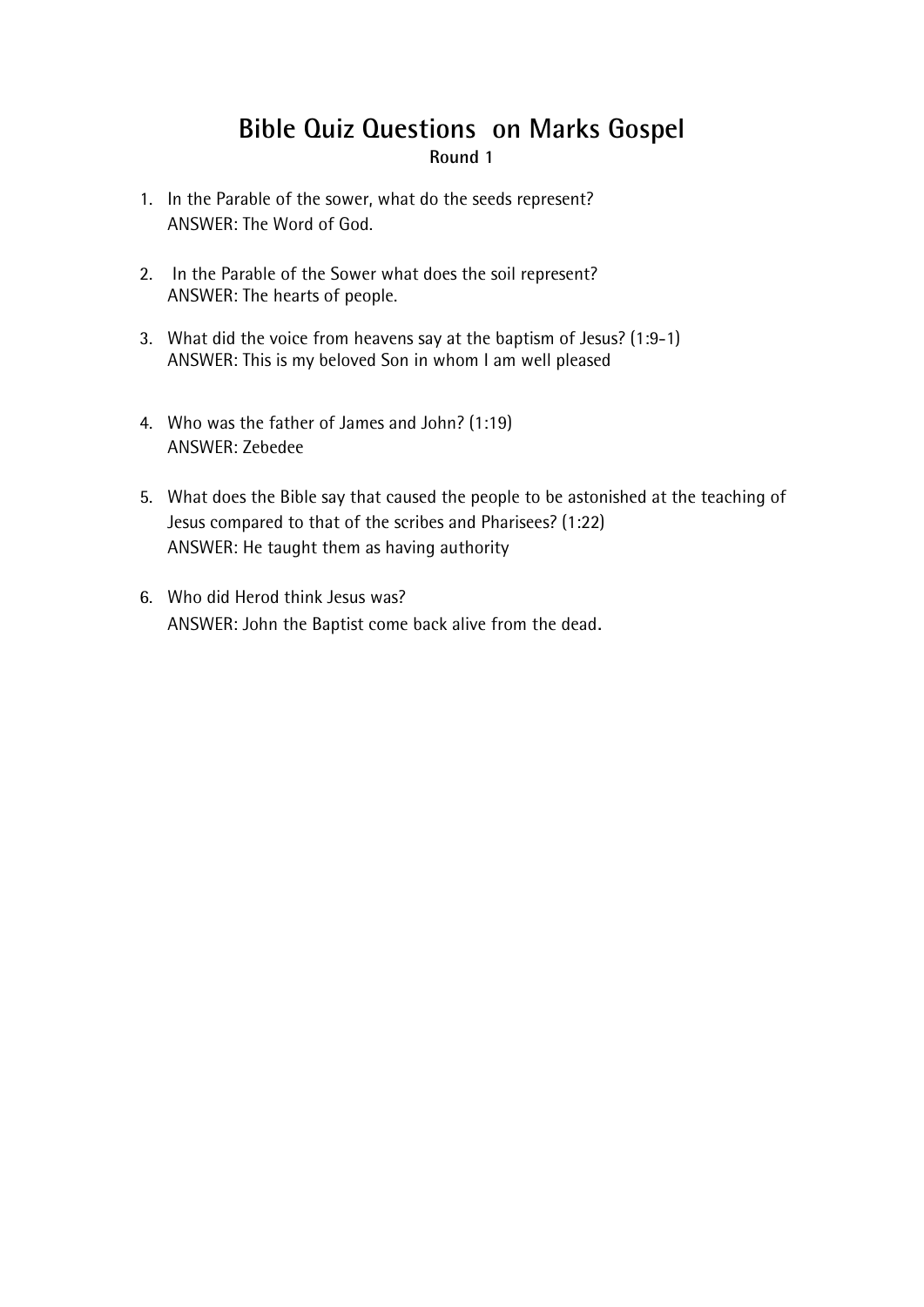# **Bible Quiz Questions on Marks Gospel Round 1**

- 1. In the Parable of the sower, what do the seeds represent? ANSWER: The Word of God.
- 2. In the Parable of the Sower what does the soil represent? ANSWER: The hearts of people.
- 3. What did the voice from heavens say at the baptism of Jesus? (1:9-1) ANSWER: This is my beloved Son in whom I am well pleased
- 4. Who was the father of James and John? (1:19) ANSWER: Zebedee
- 5. What does the Bible say that caused the people to be astonished at the teaching of Jesus compared to that of the scribes and Pharisees? (1:22) ANSWER: He taught them as having authority
- 6. Who did Herod think Jesus was? ANSWER: John the Baptist come back alive from the dead.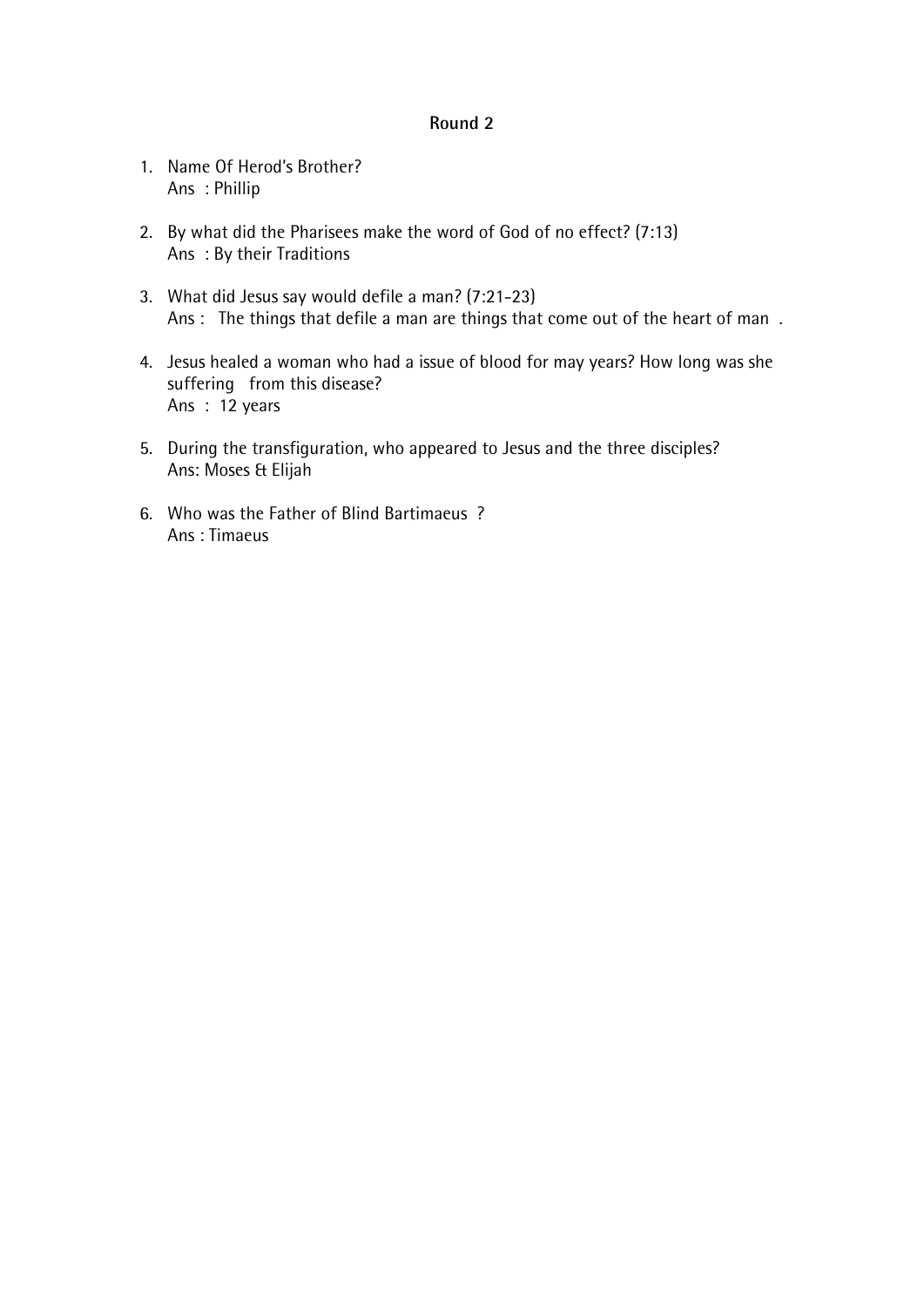- 1. Name Of Herod's Brother? Ans : Phillip
- 2. By what did the Pharisees make the word of God of no effect? (7:13) Ans : By their Traditions
- 3. What did Jesus say would defile a man? (7:21-23) Ans : The things that defile a man are things that come out of the heart of man.
- 4. Jesus healed a woman who had a issue of blood for may years? How long was she suffering from this disease? Ans  $\frac{3}{2}$  years
- 5. During the transfiguration, who appeared to Jesus and the three disciples? Ans: Moses & Elijah
- 6. Who was the Father of Blind Bartimaeus ? Ans : Timaeus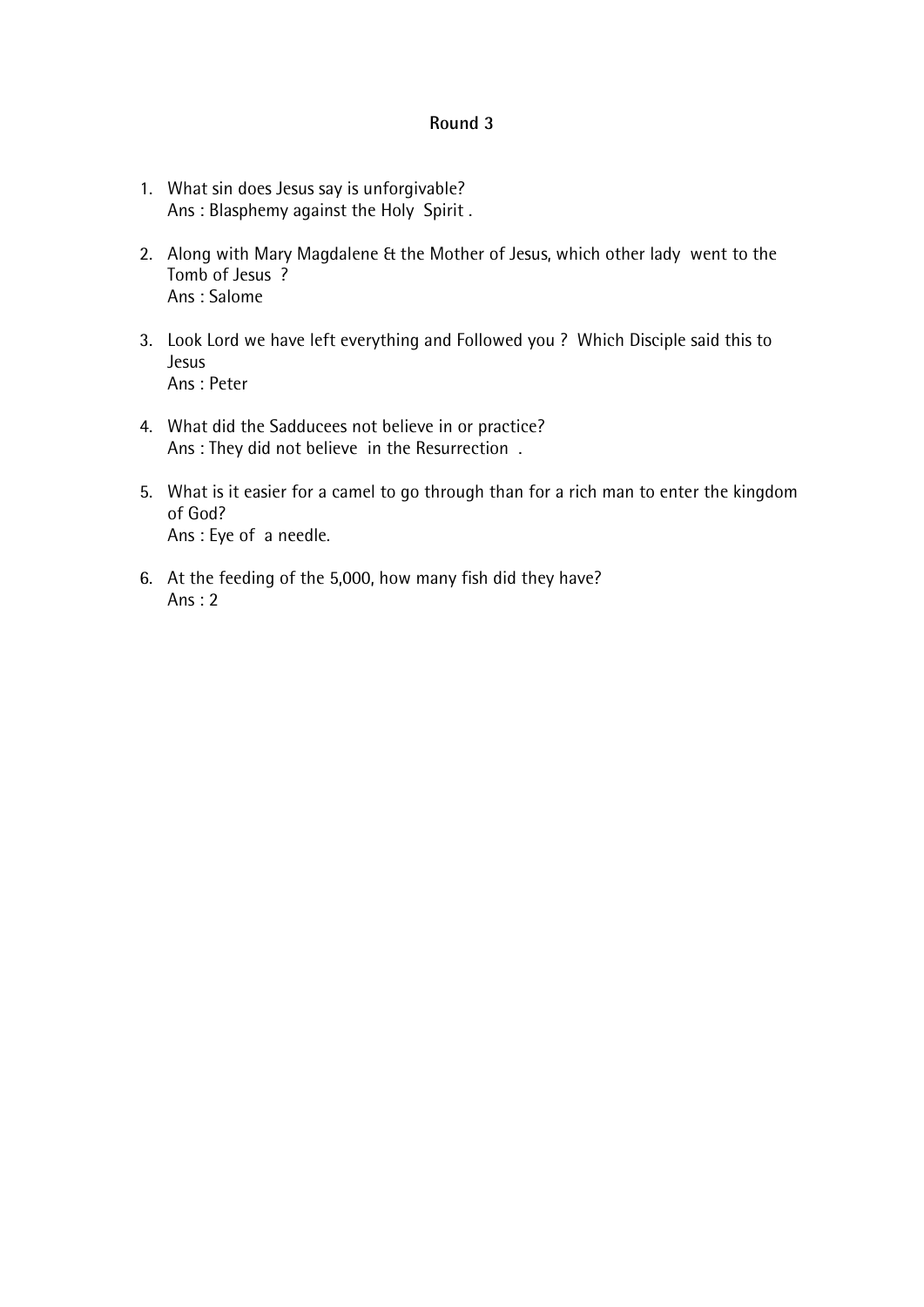- 1. What sin does Jesus say is unforgivable? Ans : Blasphemy against the Holy Spirit .
- 2. Along with Mary Magdalene & the Mother of Jesus, which other lady went to the Tomb of Jesus ? Ans : Salome
- 3. Look Lord we have left everything and Followed you ? Which Disciple said this to Jesus Ans : Peter
- 4. What did the Sadducees not believe in or practice? Ans : They did not believe in the Resurrection .
- 5. What is it easier for a camel to go through than for a rich man to enter the kingdom of God? Ans : Eye of a needle.
- 6. At the feeding of the 5,000, how many fish did they have? Ans : 2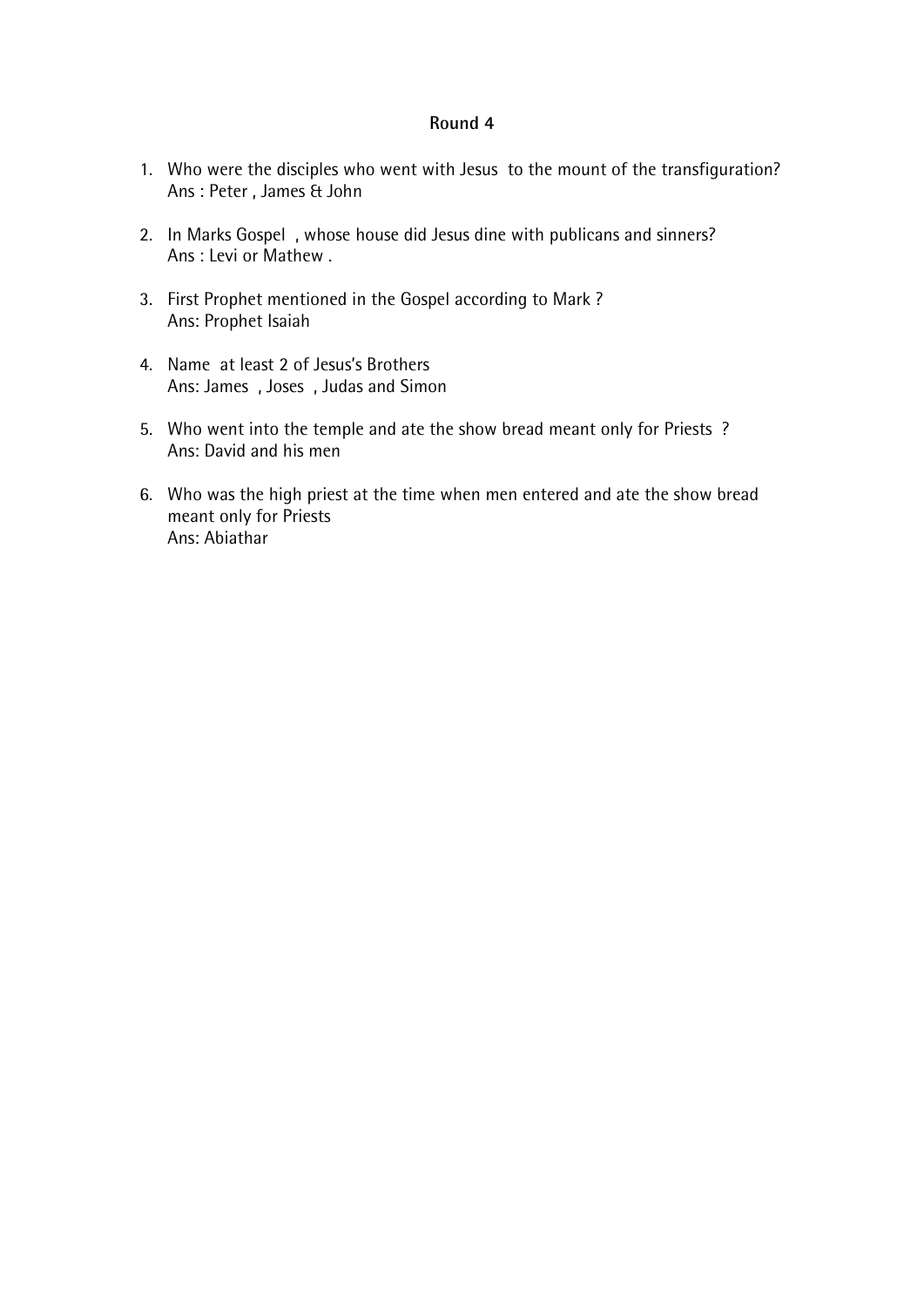- 1. Who were the disciples who went with Jesus to the mount of the transfiguration? Ans : Peter , James & John
- 2. In Marks Gospel , whose house did Jesus dine with publicans and sinners? Ans : Levi or Mathew .
- 3. First Prophet mentioned in the Gospel according to Mark ? Ans: Prophet Isaiah
- 4. Name at least 2 of Jesus's Brothers Ans: James , Joses , Judas and Simon
- 5. Who went into the temple and ate the show bread meant only for Priests ? Ans: David and his men
- 6. Who was the high priest at the time when men entered and ate the show bread meant only for Priests Ans: Abiathar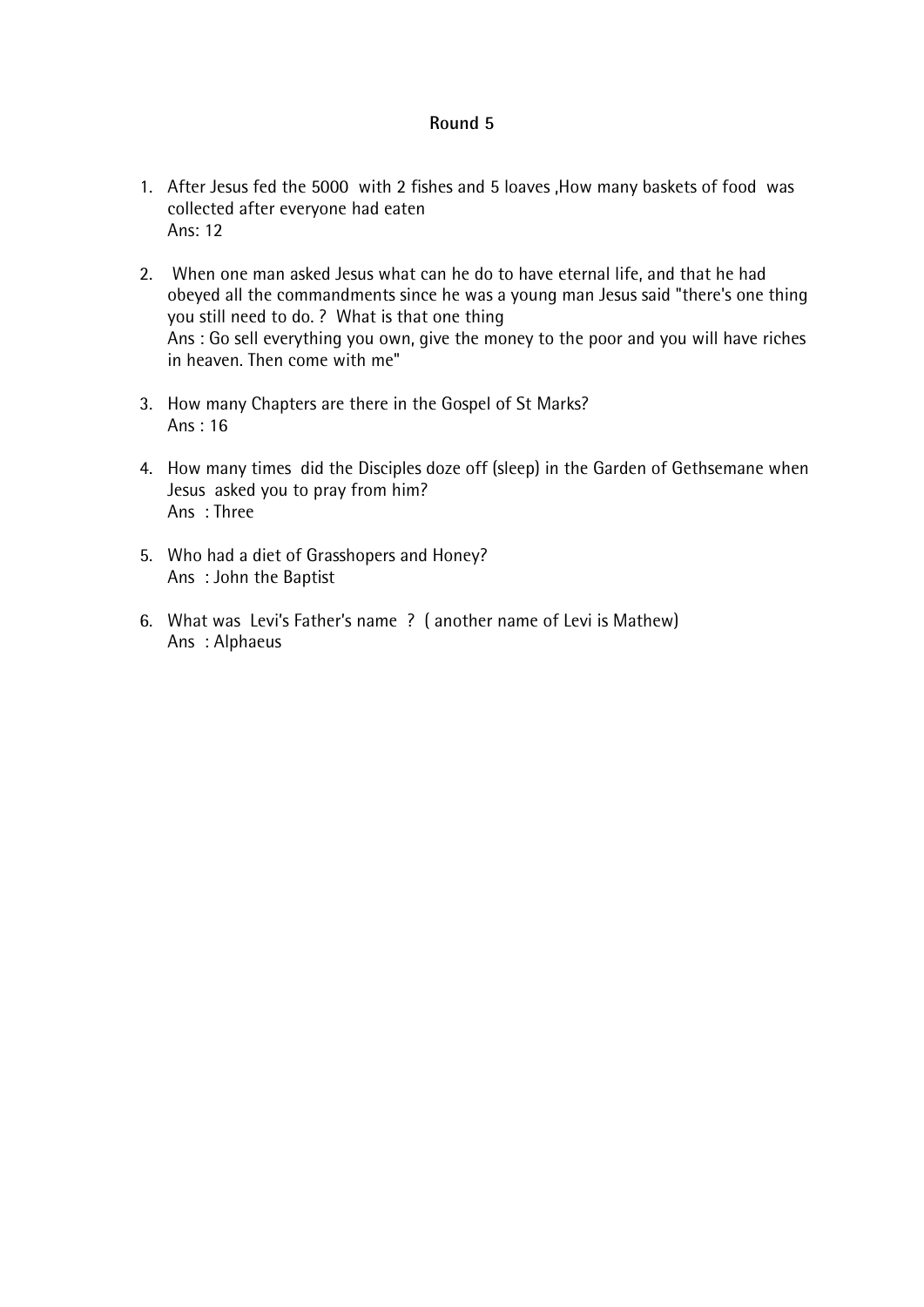- 1. After Jesus fed the 5000 with 2 fishes and 5 loaves ,How many baskets of food was collected after everyone had eaten Ans: 12
- 2. When one man asked Jesus what can he do to have eternal life, and that he had obeyed all the commandments since he was a young man Jesus said "there's one thing you still need to do. ? What is that one thing Ans : Go sell everything you own, give the money to the poor and you will have riches in heaven. Then come with me"
- 3. How many Chapters are there in the Gospel of St Marks? Ans : 16
- 4. How many times did the Disciples doze off (sleep) in the Garden of Gethsemane when Jesus asked you to pray from him? Ans : Three
- 5. Who had a diet of Grasshopers and Honey? Ans : John the Baptist
- 6. What was Levi's Father's name ? ( another name of Levi is Mathew) Ans : Alphaeus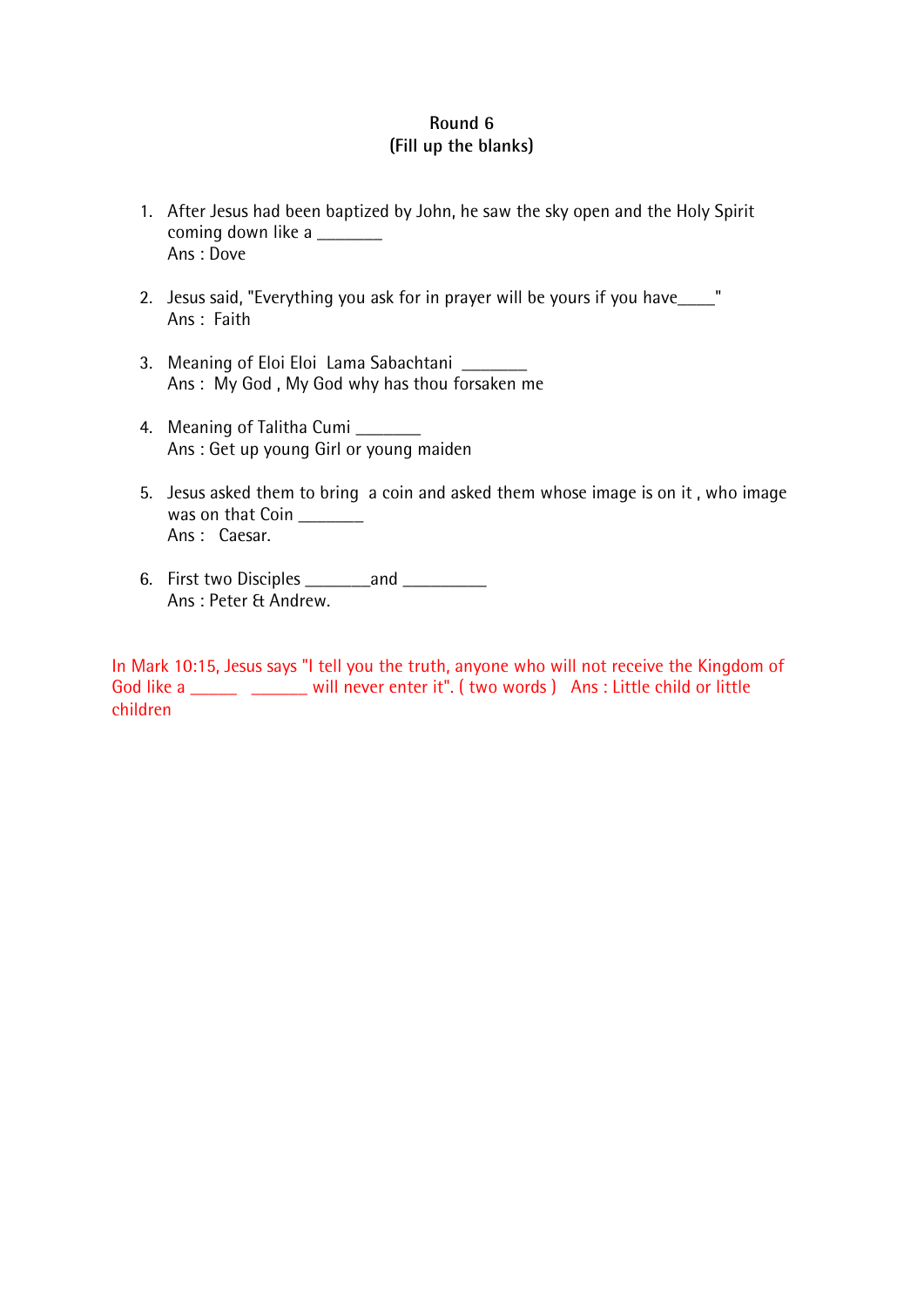# **Round 6 (Fill up the blanks)**

- 1. After Jesus had been baptized by John, he saw the sky open and the Holy Spirit coming down like a \_\_\_\_\_\_\_ Ans : Dove
- 2. Jesus said, "Everything you ask for in prayer will be yours if you have\_\_\_\_" Ans : Faith
- 3. Meaning of Eloi Eloi Lama Sabachtani \_\_\_\_\_\_\_\_ Ans : My God , My God why has thou forsaken me
- 4. Meaning of Talitha Cumi \_\_\_\_\_\_\_ Ans : Get up young Girl or young maiden
- 5. Jesus asked them to bring a coin and asked them whose image is on it , who image was on that Coin \_\_\_\_\_\_\_ Ans : Caesar.
- 6. First two Disciples \_\_\_\_\_\_\_and \_\_\_\_\_\_\_\_\_ Ans : Peter & Andrew.

In Mark 10:15, Jesus says "I tell you the truth, anyone who will not receive the Kingdom of God like a \_\_\_\_\_\_ \_\_\_\_\_\_ will never enter it". ( two words ) Ans : Little child or little children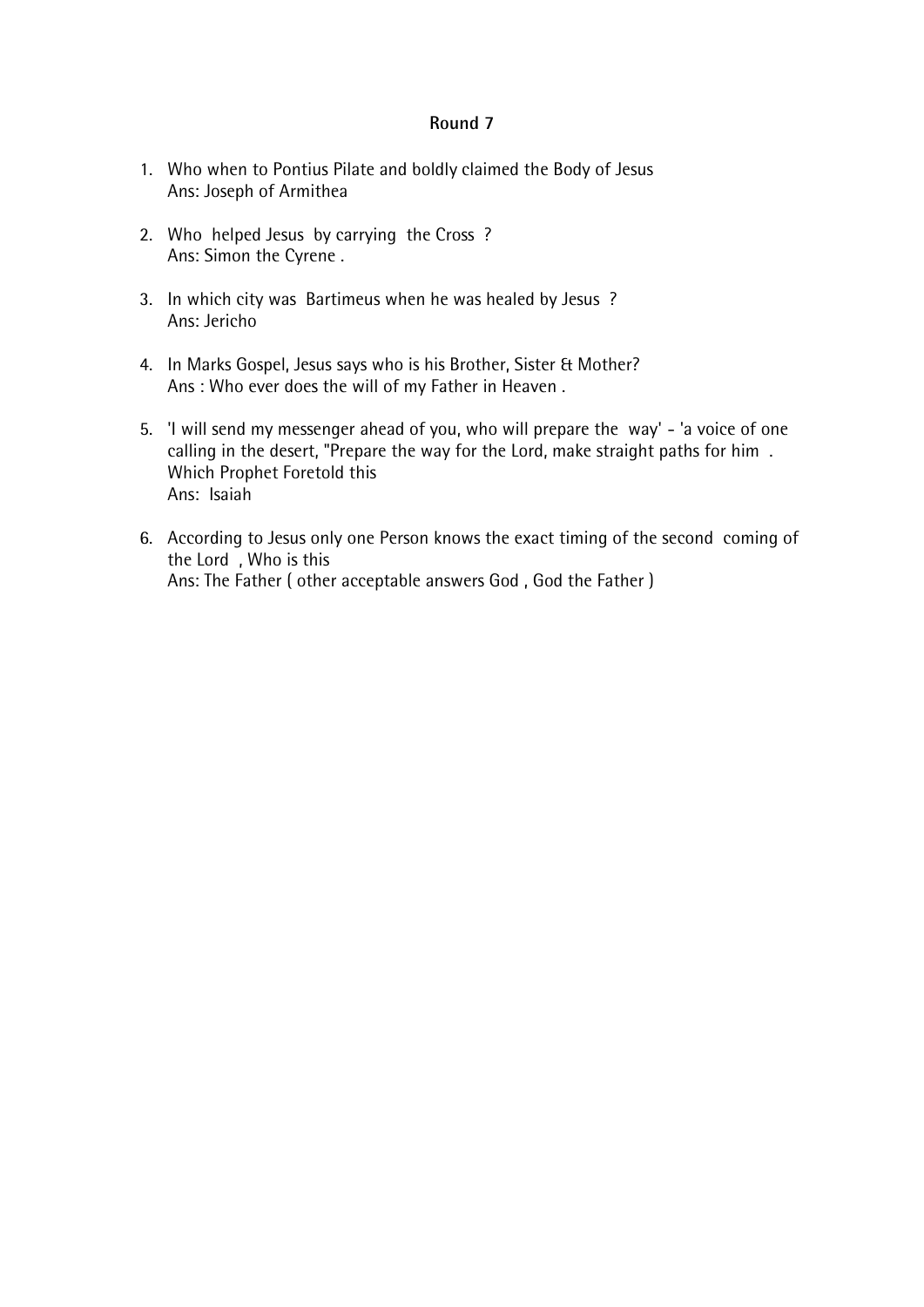- 1. Who when to Pontius Pilate and boldly claimed the Body of Jesus Ans: Joseph of Armithea
- 2. Who helped Jesus by carrying the Cross ? Ans: Simon the Cyrene .
- 3. In which city was Bartimeus when he was healed by Jesus ? Ans: Jericho
- 4. In Marks Gospel, Jesus says who is his Brother, Sister & Mother? Ans : Who ever does the will of my Father in Heaven .
- 5. 'I will send my messenger ahead of you, who will prepare the way' 'a voice of one calling in the desert, "Prepare the way for the Lord, make straight paths for him . Which Prophet Foretold this Ans: Isaiah
- 6. According to Jesus only one Person knows the exact timing of the second coming of the Lord , Who is this Ans: The Father ( other acceptable answers God , God the Father )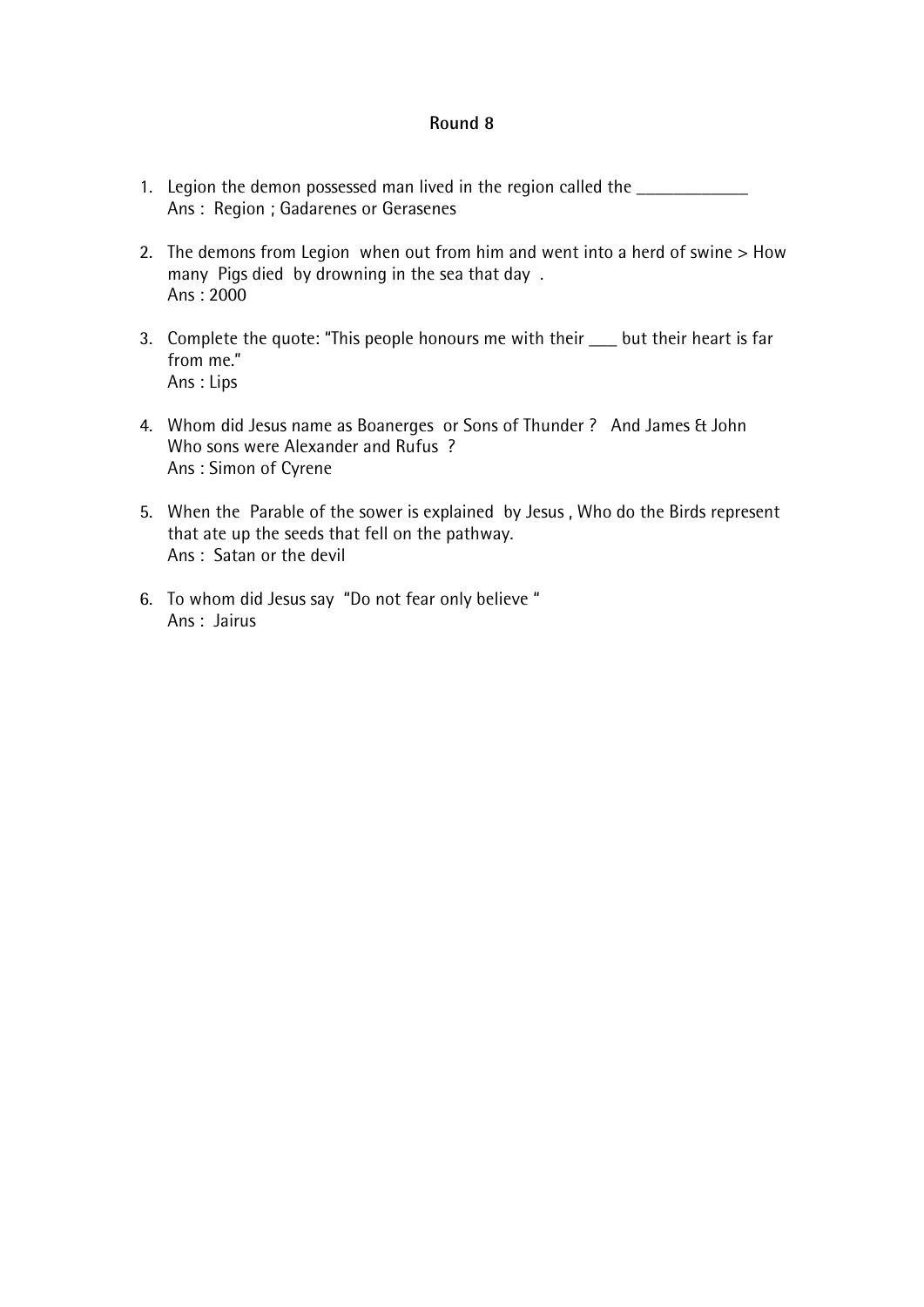- 1. Legion the demon possessed man lived in the region called the \_\_\_\_\_\_\_\_\_\_\_\_\_\_\_ Ans : Region ; Gadarenes or Gerasenes
- 2. The demons from Legion when out from him and went into a herd of swine > How many Pigs died by drowning in the sea that day . Ans : 2000
- 3. Complete the quote: "This people honours me with their but their heart is far from me." Ans : Lips
- 4. Whom did Jesus name as Boanerges or Sons of Thunder ? And James & John Who sons were Alexander and Rufus ? Ans : Simon of Cyrene
- 5. When the Parable of the sower is explained by Jesus , Who do the Birds represent that ate up the seeds that fell on the pathway. Ans : Satan or the devil
- 6. To whom did Jesus say "Do not fear only believe " Ans : Jairus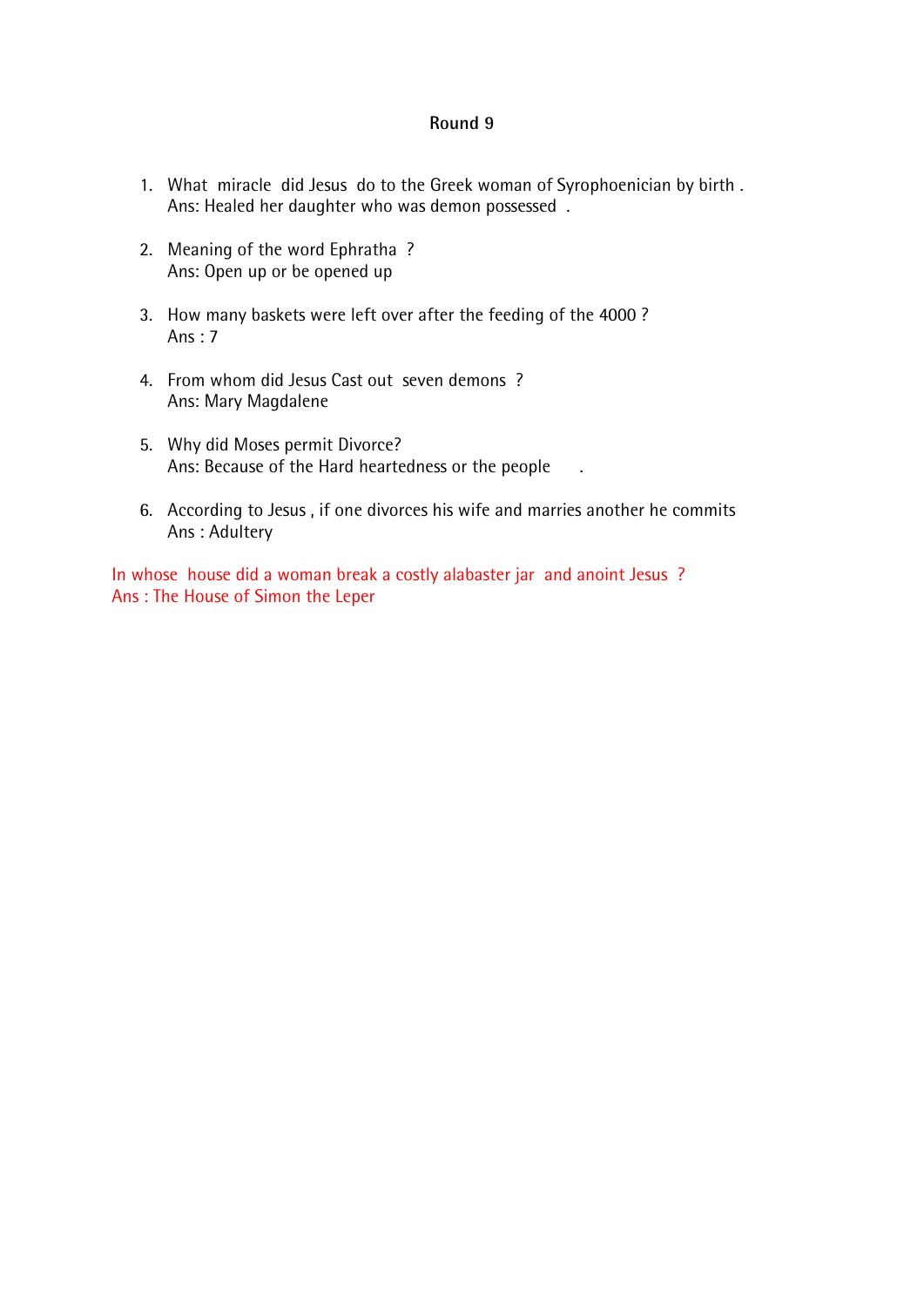- 1. What miracle did Jesus do to the Greek woman of Syrophoenician by birth . Ans: Healed her daughter who was demon possessed .
- 2. Meaning of the word Ephratha ? Ans: Open up or be opened up
- 3. How many baskets were left over after the feeding of the 4000 ? Ans  $\cdot$  7
- 4. From whom did Jesus Cast out seven demons ? Ans: Mary Magdalene
- 5. Why did Moses permit Divorce? Ans: Because of the Hard heartedness or the people ...
- 6. According to Jesus , if one divorces his wife and marries another he commits Ans : Adultery

In whose house did a woman break a costly alabaster jar and anoint Jesus ? Ans : The House of Simon the Leper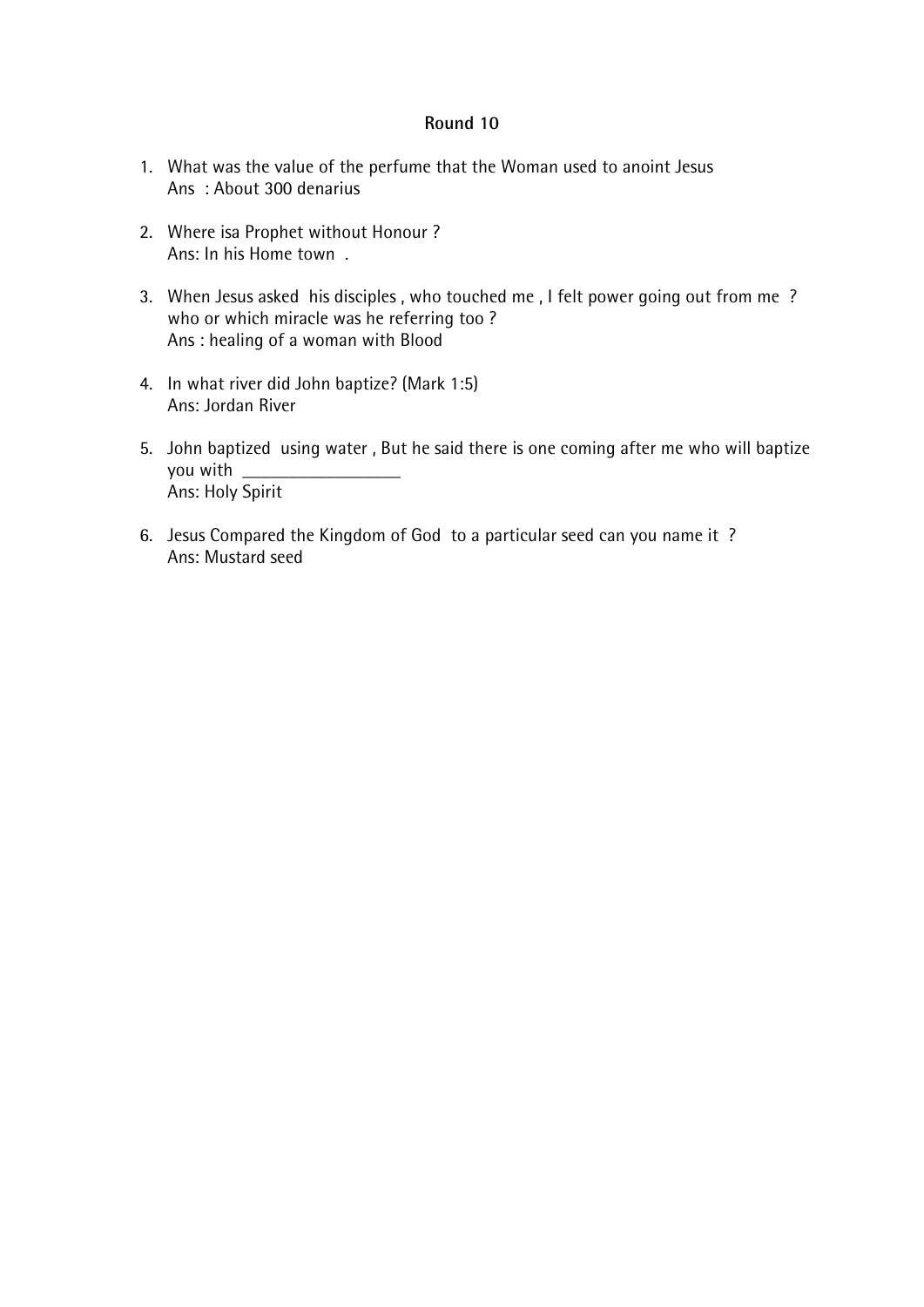- 1. What was the value of the perfume that the Woman used to anoint Jesus Ans : About 300 denarius
- 2. Where isa Prophet without Honour ? Ans: In his Home town .
- 3. When Jesus asked his disciples , who touched me , I felt power going out from me ? who or which miracle was he referring too ? Ans : healing of a woman with Blood
- 4. In what river did John baptize? (Mark 1:5) Ans: Jordan River
- 5. John baptized using water , But he said there is one coming after me who will baptize you with Ans: Holy Spirit
- 6. Jesus Compared the Kingdom of God to a particular seed can you name it ? Ans: Mustard seed